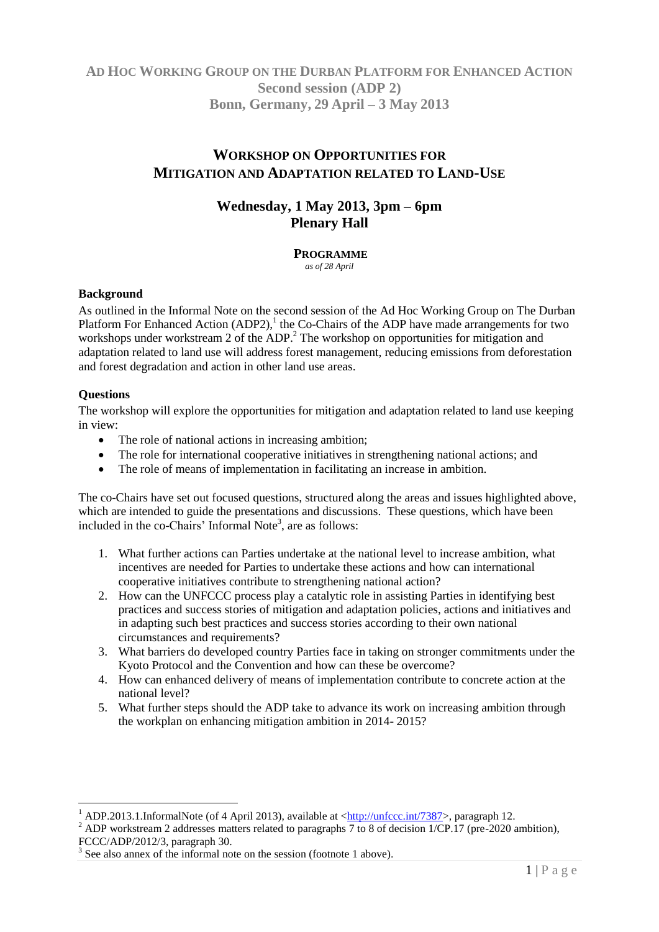## **AD HOC WORKING GROUP ON THE DURBAN PLATFORM FOR ENHANCED ACTION Second session (ADP 2) Bonn, Germany, 29 April – 3 May 2013**

# **WORKSHOP ON OPPORTUNITIES FOR MITIGATION AND ADAPTATION RELATED TO LAND-USE**

## **Wednesday, 1 May 2013, 3pm – 6pm Plenary Hall**

**PROGRAMME** *as of 28 April*

### **Background**

As outlined in the Informal Note on the second session of the Ad Hoc Working Group on The Durban Platform For Enhanced Action (ADP2),<sup>1</sup> the Co-Chairs of the ADP have made arrangements for two workshops under workstream 2 of the ADP.<sup>2</sup> The workshop on opportunities for mitigation and adaptation related to land use will address forest management, reducing emissions from deforestation and forest degradation and action in other land use areas.

### **Questions**

 $\overline{a}$ 

The workshop will explore the opportunities for mitigation and adaptation related to land use keeping in view:

- The role of national actions in increasing ambition;
- The role for international cooperative initiatives in strengthening national actions; and
- The role of means of implementation in facilitating an increase in ambition.

The co-Chairs have set out focused questions, structured along the areas and issues highlighted above, which are intended to guide the presentations and discussions. These questions, which have been included in the co-Chairs' Informal Note<sup>3</sup>, are as follows:

- 1. What further actions can Parties undertake at the national level to increase ambition, what incentives are needed for Parties to undertake these actions and how can international cooperative initiatives contribute to strengthening national action?
- 2. How can the UNFCCC process play a catalytic role in assisting Parties in identifying best practices and success stories of mitigation and adaptation policies, actions and initiatives and in adapting such best practices and success stories according to their own national circumstances and requirements?
- 3. What barriers do developed country Parties face in taking on stronger commitments under the Kyoto Protocol and the Convention and how can these be overcome?
- 4. How can enhanced delivery of means of implementation contribute to concrete action at the national level?
- 5. What further steps should the ADP take to advance its work on increasing ambition through the workplan on enhancing mitigation ambition in 2014- 2015?

<sup>&</sup>lt;sup>1</sup> ADP.2013.1.InformalNote (of 4 April 2013), available at  $\frac{\text{http://unfcc.int/7387>}}{\text{http://unfcc.int/7387>}}$ , paragraph 12.

<sup>&</sup>lt;sup>2</sup> ADP workstream 2 addresses matters related to paragraphs 7 to 8 of decision 1/CP.17 (pre-2020 ambition), FCCC/ADP/2012/3, paragraph 30.

<sup>&</sup>lt;sup>3</sup> See also annex of the informal note on the session (footnote 1 above).